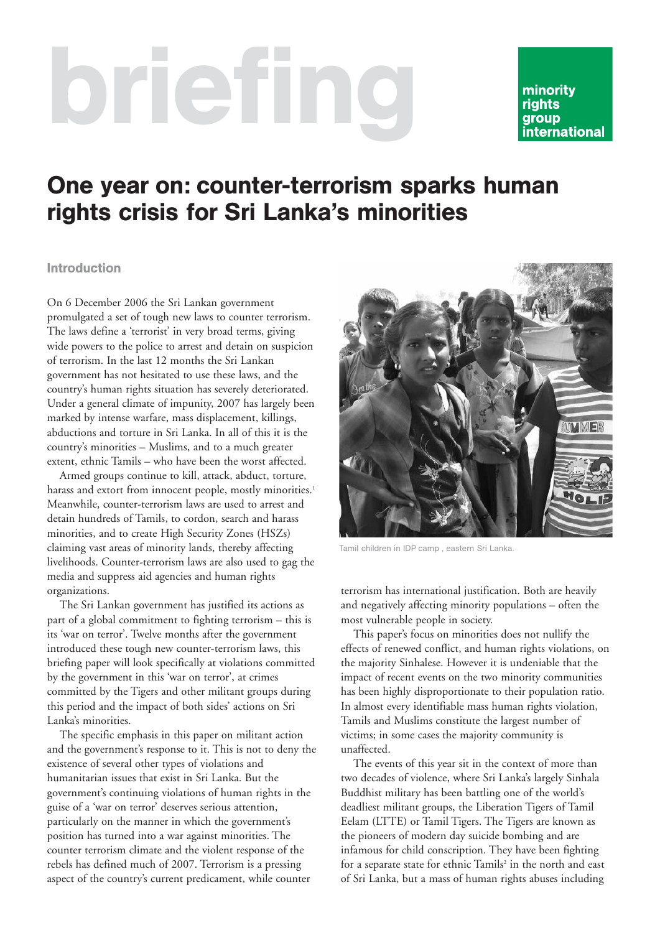# briefing

## minority **rights** group international

# One year on: counter-terrorism sparks human rights crisis for Sri Lanka's minorities

#### Introduction

On 6 December 2006 the Sri Lankan government promulgated a set of tough new laws to counter terrorism. The laws define a 'terrorist' in very broad terms, giving wide powers to the police to arrest and detain on suspicion of terrorism. In the last 12 months the Sri Lankan government has not hesitated to use these laws, and the country's human rights situation has severely deteriorated. Under a general climate of impunity, 2007 has largely been marked by intense warfare, mass displacement, killings, abductions and torture in Sri Lanka. In all of this it is the country's minorities – Muslims, and to a much greater extent, ethnic Tamils – who have been the worst affected.

Armed groups continue to kill, attack, abduct, torture, harass and extort from innocent people, mostly minorities.<sup>1</sup> Meanwhile, counter-terrorism laws are used to arrest and detain hundreds of Tamils, to cordon, search and harass minorities, and to create High Security Zones (HSZs) claiming vast areas of minority lands, thereby affecting livelihoods. Counter-terrorism laws are also used to gag the media and suppress aid agencies and human rights organizations.

The Sri Lankan government has justified its actions as part of a global commitment to fighting terrorism – this is its 'war on terror'. Twelve months after the government introduced these tough new counter-terrorism laws, this briefing paper will look specifically at violations committed by the government in this 'war on terror', at crimes committed by the Tigers and other militant groups during this period and the impact of both sides' actions on Sri Lanka's minorities.

The specific emphasis in this paper on militant action and the government's response to it. This is not to deny the existence of several other types of violations and humanitarian issues that exist in Sri Lanka. But the government's continuing violations of human rights in the guise of a 'war on terror' deserves serious attention, particularly on the manner in which the government's position has turned into a war against minorities. The counter terrorism climate and the violent response of the rebels has defined much of 2007. Terrorism is a pressing aspect of the country's current predicament, while counter



Tamil children in IDP camp , eastern Sri Lanka.

terrorism has international justification. Both are heavily and negatively affecting minority populations – often the most vulnerable people in society.

This paper's focus on minorities does not nullify the effects of renewed conflict, and human rights violations, on the majority Sinhalese. However it is undeniable that the impact of recent events on the two minority communities has been highly disproportionate to their population ratio. In almost every identifiable mass human rights violation, Tamils and Muslims constitute the largest number of victims; in some cases the majority community is unaffected.

The events of this year sit in the context of more than two decades of violence, where Sri Lanka's largely Sinhala Buddhist military has been battling one of the world's deadliest militant groups, the Liberation Tigers of Tamil Eelam (LTTE) or Tamil Tigers. The Tigers are known as the pioneers of modern day suicide bombing and are infamous for child conscription. They have been fighting for a separate state for ethnic Tamils<sup>2</sup> in the north and east of Sri Lanka, but a mass of human rights abuses including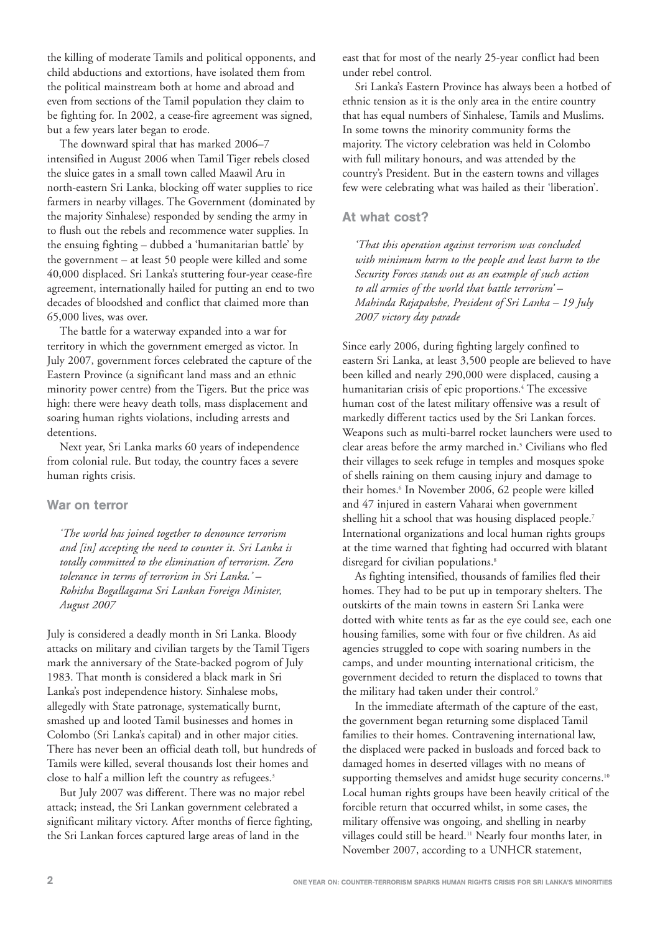the killing of moderate Tamils and political opponents, and child abductions and extortions, have isolated them from the political mainstream both at home and abroad and even from sections of the Tamil population they claim to be fighting for. In 2002, a cease-fire agreement was signed, but a few years later began to erode.

The downward spiral that has marked 2006–7 intensified in August 2006 when Tamil Tiger rebels closed the sluice gates in a small town called Maawil Aru in north-eastern Sri Lanka, blocking off water supplies to rice farmers in nearby villages. The Government (dominated by the majority Sinhalese) responded by sending the army in to flush out the rebels and recommence water supplies. In the ensuing fighting – dubbed a 'humanitarian battle' by the government – at least 50 people were killed and some 40,000 displaced. Sri Lanka's stuttering four-year cease-fire agreement, internationally hailed for putting an end to two decades of bloodshed and conflict that claimed more than 65,000 lives, was over.

The battle for a waterway expanded into a war for territory in which the government emerged as victor. In July 2007, government forces celebrated the capture of the Eastern Province (a significant land mass and an ethnic minority power centre) from the Tigers. But the price was high: there were heavy death tolls, mass displacement and soaring human rights violations, including arrests and detentions.

Next year, Sri Lanka marks 60 years of independence from colonial rule. But today, the country faces a severe human rights crisis.

#### War on terror

*'The world has joined together to denounce terrorism and [in] accepting the need to counter it. Sri Lanka is totally committed to the elimination of terrorism. Zero tolerance in terms of terrorism in Sri Lanka.' – Rohitha Bogallagama Sri Lankan Foreign Minister, August 2007*

July is considered a deadly month in Sri Lanka. Bloody attacks on military and civilian targets by the Tamil Tigers mark the anniversary of the State-backed pogrom of July 1983. That month is considered a black mark in Sri Lanka's post independence history. Sinhalese mobs, allegedly with State patronage, systematically burnt, smashed up and looted Tamil businesses and homes in Colombo (Sri Lanka's capital) and in other major cities. There has never been an official death toll, but hundreds of Tamils were killed, several thousands lost their homes and close to half a million left the country as refugees.<sup>3</sup>

But July 2007 was different. There was no major rebel attack; instead, the Sri Lankan government celebrated a significant military victory. After months of fierce fighting, the Sri Lankan forces captured large areas of land in the

east that for most of the nearly 25-year conflict had been under rebel control.

Sri Lanka's Eastern Province has always been a hotbed of ethnic tension as it is the only area in the entire country that has equal numbers of Sinhalese, Tamils and Muslims. In some towns the minority community forms the majority. The victory celebration was held in Colombo with full military honours, and was attended by the country's President. But in the eastern towns and villages few were celebrating what was hailed as their 'liberation'.

#### At what cost?

*'That this operation against terrorism was concluded with minimum harm to the people and least harm to the Security Forces stands out as an example of such action to all armies of the world that battle terrorism' – Mahinda Rajapakshe, President of Sri Lanka – 19 July 2007 victory day parade*

Since early 2006, during fighting largely confined to eastern Sri Lanka, at least 3,500 people are believed to have been killed and nearly 290,000 were displaced, causing a humanitarian crisis of epic proportions.<sup>4</sup> The excessive human cost of the latest military offensive was a result of markedly different tactics used by the Sri Lankan forces. Weapons such as multi-barrel rocket launchers were used to clear areas before the army marched in.<sup>5</sup> Civilians who fled their villages to seek refuge in temples and mosques spoke of shells raining on them causing injury and damage to their homes.<sup>6</sup> In November 2006, 62 people were killed and 47 injured in eastern Vaharai when government shelling hit a school that was housing displaced people.<sup>7</sup> International organizations and local human rights groups at the time warned that fighting had occurred with blatant disregard for civilian populations.<sup>8</sup>

As fighting intensified, thousands of families fled their homes. They had to be put up in temporary shelters. The outskirts of the main towns in eastern Sri Lanka were dotted with white tents as far as the eye could see, each one housing families, some with four or five children. As aid agencies struggled to cope with soaring numbers in the camps, and under mounting international criticism, the government decided to return the displaced to towns that the military had taken under their control.<sup>9</sup>

In the immediate aftermath of the capture of the east, the government began returning some displaced Tamil families to their homes. Contravening international law, the displaced were packed in busloads and forced back to damaged homes in deserted villages with no means of supporting themselves and amidst huge security concerns.<sup>10</sup> Local human rights groups have been heavily critical of the forcible return that occurred whilst, in some cases, the military offensive was ongoing, and shelling in nearby villages could still be heard.11 Nearly four months later, in November 2007, according to a UNHCR statement,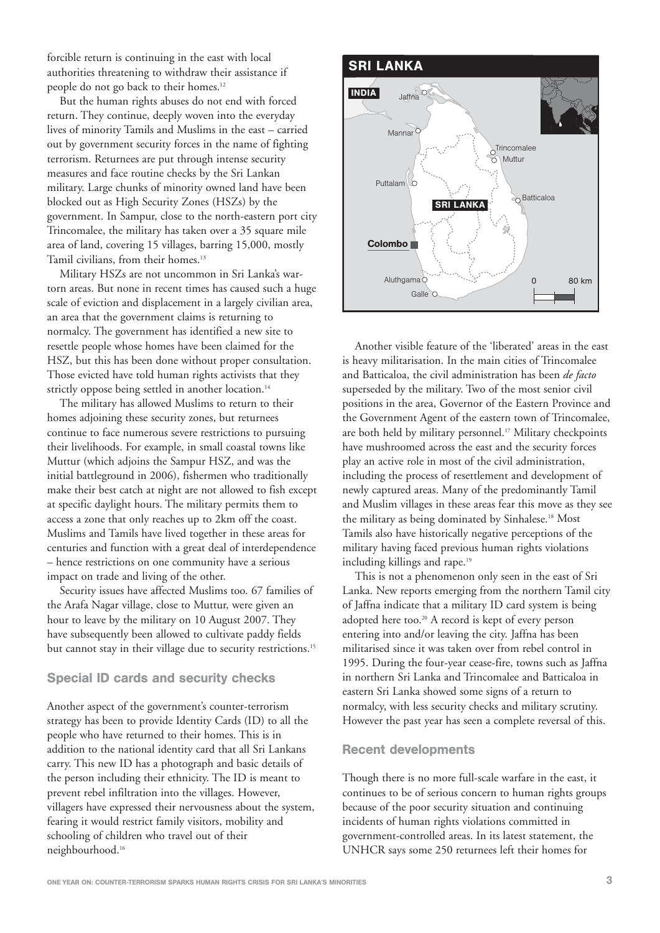forcible return is continuing in the east with local authorities threatening to withdraw their assistance if people do not go back to their homes.12

But the human rights abuses do not end with forced return. They continue, deeply woven into the everyday lives of minority Tamils and Muslims in the east – carried out by government security forces in the name of fighting terrorism. Returnees are put through intense security measures and face routine checks by the Sri Lankan military. Large chunks of minority owned land have been blocked out as High Security Zones (HSZs) by the government. In Sampur, close to the north-eastern port city Trincomalee, the military has taken over a 35 square mile area of land, covering 15 villages, barring 15,000, mostly Tamil civilians, from their homes.<sup>13</sup>

Military HSZs are not uncommon in Sri Lanka's wartorn areas. But none in recent times has caused such a huge scale of eviction and displacement in a largely civilian area, an area that the government claims is returning to normalcy. The government has identified a new site to resettle people whose homes have been claimed for the HSZ, but this has been done without proper consultation. Those evicted have told human rights activists that they strictly oppose being settled in another location.<sup>14</sup>

The military has allowed Muslims to return to their homes adjoining these security zones, but returnees continue to face numerous severe restrictions to pursuing their livelihoods. For example, in small coastal towns like Muttur (which adjoins the Sampur HSZ, and was the initial battleground in 2006), fishermen who traditionally make their best catch at night are not allowed to fish except at specific daylight hours. The military permits them to access a zone that only reaches up to 2km off the coast. Muslims and Tamils have lived together in these areas for centuries and function with a great deal of interdependence – hence restrictions on one community have a serious impact on trade and living of the other.

Security issues have affected Muslims too. 67 families of the Arafa Nagar village, close to Muttur, were given an hour to leave by the military on 10 August 2007. They have subsequently been allowed to cultivate paddy fields but cannot stay in their village due to security restrictions.<sup>15</sup>

#### Special ID cards and security checks

Another aspect of the government's counter-terrorism strategy has been to provide Identity Cards (ID) to all the people who have returned to their homes. This is in addition to the national identity card that all Sri Lankans carry. This new ID has a photograph and basic details of the person including their ethnicity. The ID is meant to prevent rebel infiltration into the villages. However, villagers have expressed their nervousness about the system, fearing it would restrict family visitors, mobility and schooling of children who travel out of their neighbourhood.16



Another visible feature of the 'liberated' areas in the east is heavy militarisation. In the main cities of Trincomalee and Batticaloa, the civil administration has been *de facto* superseded by the military. Two of the most senior civil positions in the area, Governor of the Eastern Province and the Government Agent of the eastern town of Trincomalee, are both held by military personnel.<sup>17</sup> Military checkpoints have mushroomed across the east and the security forces play an active role in most of the civil administration, including the process of resettlement and development of newly captured areas. Many of the predominantly Tamil and Muslim villages in these areas fear this move as they see the military as being dominated by Sinhalese.18 Most Tamils also have historically negative perceptions of the military having faced previous human rights violations including killings and rape.<sup>19</sup>

This is not a phenomenon only seen in the east of Sri Lanka. New reports emerging from the northern Tamil city of Jaffna indicate that a military ID card system is being adopted here too.<sup>20</sup> A record is kept of every person entering into and/or leaving the city. Jaffna has been militarised since it was taken over from rebel control in 1995. During the four-year cease-fire, towns such as Jaffna in northern Sri Lanka and Trincomalee and Batticaloa in eastern Sri Lanka showed some signs of a return to normalcy, with less security checks and military scrutiny. However the past year has seen a complete reversal of this.

#### Recent developments

Though there is no more full-scale warfare in the east, it continues to be of serious concern to human rights groups because of the poor security situation and continuing incidents of human rights violations committed in government-controlled areas. In its latest statement, the UNHCR says some 250 returnees left their homes for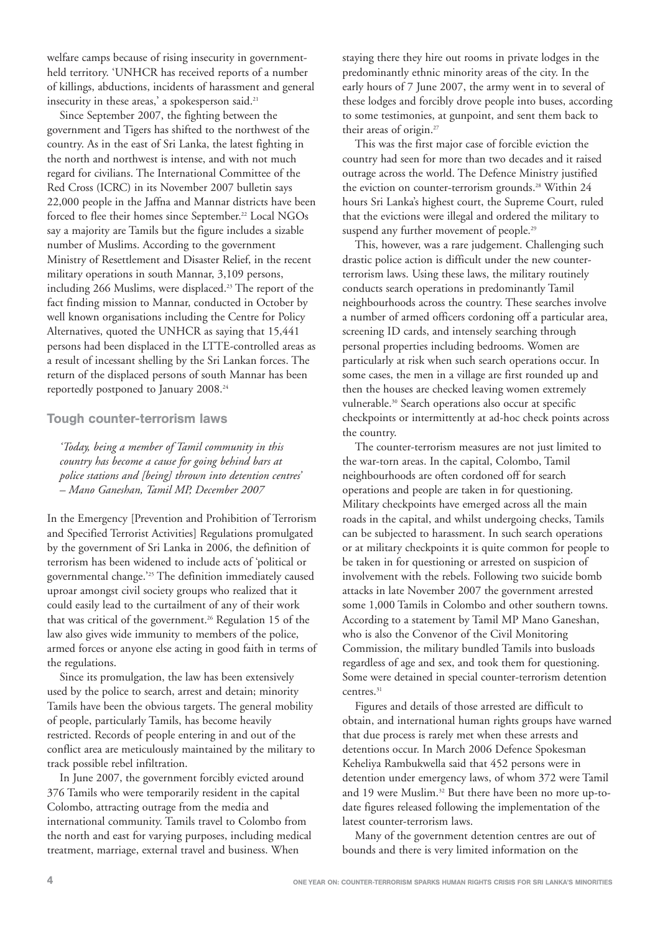welfare camps because of rising insecurity in governmentheld territory. 'UNHCR has received reports of a number of killings, abductions, incidents of harassment and general insecurity in these areas,' a spokesperson said.<sup>21</sup>

Since September 2007, the fighting between the government and Tigers has shifted to the northwest of the country. As in the east of Sri Lanka, the latest fighting in the north and northwest is intense, and with not much regard for civilians. The International Committee of the Red Cross (ICRC) in its November 2007 bulletin says 22,000 people in the Jaffna and Mannar districts have been forced to flee their homes since September.<sup>22</sup> Local NGOs say a majority are Tamils but the figure includes a sizable number of Muslims. According to the government Ministry of Resettlement and Disaster Relief, in the recent military operations in south Mannar, 3,109 persons, including 266 Muslims, were displaced.<sup>23</sup> The report of the fact finding mission to Mannar, conducted in October by well known organisations including the Centre for Policy Alternatives, quoted the UNHCR as saying that 15,441 persons had been displaced in the LTTE-controlled areas as a result of incessant shelling by the Sri Lankan forces. The return of the displaced persons of south Mannar has been reportedly postponed to January 2008.24

#### Tough counter-terrorism laws

*'Today, being a member of Tamil community in this country has become a cause for going behind bars at police stations and [being] thrown into detention centres' – Mano Ganeshan, Tamil MP, December 2007*

In the Emergency [Prevention and Prohibition of Terrorism and Specified Terrorist Activities] Regulations promulgated by the government of Sri Lanka in 2006, the definition of terrorism has been widened to include acts of 'political or governmental change.'25 The definition immediately caused uproar amongst civil society groups who realized that it could easily lead to the curtailment of any of their work that was critical of the government.<sup>26</sup> Regulation 15 of the law also gives wide immunity to members of the police, armed forces or anyone else acting in good faith in terms of the regulations.

Since its promulgation, the law has been extensively used by the police to search, arrest and detain; minority Tamils have been the obvious targets. The general mobility of people, particularly Tamils, has become heavily restricted. Records of people entering in and out of the conflict area are meticulously maintained by the military to track possible rebel infiltration.

In June 2007, the government forcibly evicted around 376 Tamils who were temporarily resident in the capital Colombo, attracting outrage from the media and international community. Tamils travel to Colombo from the north and east for varying purposes, including medical treatment, marriage, external travel and business. When

staying there they hire out rooms in private lodges in the predominantly ethnic minority areas of the city. In the early hours of 7 June 2007, the army went in to several of these lodges and forcibly drove people into buses, according to some testimonies, at gunpoint, and sent them back to their areas of origin.27

This was the first major case of forcible eviction the country had seen for more than two decades and it raised outrage across the world. The Defence Ministry justified the eviction on counter-terrorism grounds.<sup>28</sup> Within 24 hours Sri Lanka's highest court, the Supreme Court, ruled that the evictions were illegal and ordered the military to suspend any further movement of people.<sup>29</sup>

This, however, was a rare judgement. Challenging such drastic police action is difficult under the new counterterrorism laws. Using these laws, the military routinely conducts search operations in predominantly Tamil neighbourhoods across the country. These searches involve a number of armed officers cordoning off a particular area, screening ID cards, and intensely searching through personal properties including bedrooms. Women are particularly at risk when such search operations occur. In some cases, the men in a village are first rounded up and then the houses are checked leaving women extremely vulnerable.30 Search operations also occur at specific checkpoints or intermittently at ad-hoc check points across the country.

The counter-terrorism measures are not just limited to the war-torn areas. In the capital, Colombo, Tamil neighbourhoods are often cordoned off for search operations and people are taken in for questioning. Military checkpoints have emerged across all the main roads in the capital, and whilst undergoing checks, Tamils can be subjected to harassment. In such search operations or at military checkpoints it is quite common for people to be taken in for questioning or arrested on suspicion of involvement with the rebels. Following two suicide bomb attacks in late November 2007 the government arrested some 1,000 Tamils in Colombo and other southern towns. According to a statement by Tamil MP Mano Ganeshan, who is also the Convenor of the Civil Monitoring Commission, the military bundled Tamils into busloads regardless of age and sex, and took them for questioning. Some were detained in special counter-terrorism detention centres.<sup>31</sup>

Figures and details of those arrested are difficult to obtain, and international human rights groups have warned that due process is rarely met when these arrests and detentions occur. In March 2006 Defence Spokesman Keheliya Rambukwella said that 452 persons were in detention under emergency laws, of whom 372 were Tamil and 19 were Muslim.<sup>32</sup> But there have been no more up-todate figures released following the implementation of the latest counter-terrorism laws.

Many of the government detention centres are out of bounds and there is very limited information on the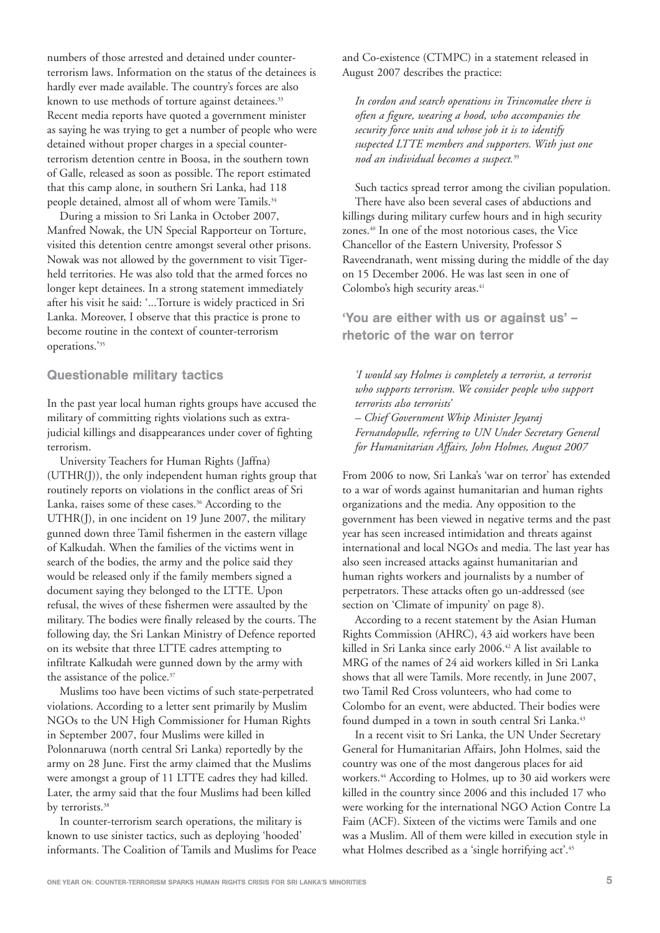numbers of those arrested and detained under counterterrorism laws. Information on the status of the detainees is hardly ever made available. The country's forces are also known to use methods of torture against detainees.<sup>33</sup> Recent media reports have quoted a government minister as saying he was trying to get a number of people who were detained without proper charges in a special counterterrorism detention centre in Boosa, in the southern town of Galle, released as soon as possible. The report estimated that this camp alone, in southern Sri Lanka, had 118 people detained, almost all of whom were Tamils.<sup>34</sup>

During a mission to Sri Lanka in October 2007, Manfred Nowak, the UN Special Rapporteur on Torture, visited this detention centre amongst several other prisons. Nowak was not allowed by the government to visit Tigerheld territories. He was also told that the armed forces no longer kept detainees. In a strong statement immediately after his visit he said: '...Torture is widely practiced in Sri Lanka. Moreover, I observe that this practice is prone to become routine in the context of counter-terrorism operations.'35

#### Questionable military tactics

In the past year local human rights groups have accused the military of committing rights violations such as extrajudicial killings and disappearances under cover of fighting terrorism.

University Teachers for Human Rights (Jaffna) (UTHR(J)), the only independent human rights group that routinely reports on violations in the conflict areas of Sri Lanka, raises some of these cases.<sup>36</sup> According to the UTHR(J), in one incident on 19 June 2007, the military gunned down three Tamil fishermen in the eastern village of Kalkudah. When the families of the victims went in search of the bodies, the army and the police said they would be released only if the family members signed a document saying they belonged to the LTTE. Upon refusal, the wives of these fishermen were assaulted by the military. The bodies were finally released by the courts. The following day, the Sri Lankan Ministry of Defence reported on its website that three LTTE cadres attempting to infiltrate Kalkudah were gunned down by the army with the assistance of the police.<sup>37</sup>

Muslims too have been victims of such state-perpetrated violations. According to a letter sent primarily by Muslim NGOs to the UN High Commissioner for Human Rights in September 2007, four Muslims were killed in Polonnaruwa (north central Sri Lanka) reportedly by the army on 28 June. First the army claimed that the Muslims were amongst a group of 11 LTTE cadres they had killed. Later, the army said that the four Muslims had been killed by terrorists.<sup>38</sup>

In counter-terrorism search operations, the military is known to use sinister tactics, such as deploying 'hooded' informants. The Coalition of Tamils and Muslims for Peace and Co-existence (CTMPC) in a statement released in August 2007 describes the practice:

*In cordon and search operations in Trincomalee there is often a figure, wearing a hood, who accompanies the security force units and whose job it is to identify suspected LTTE members and supporters. With just one nod an individual becomes a suspect.*<sup>39</sup>

Such tactics spread terror among the civilian population. There have also been several cases of abductions and killings during military curfew hours and in high security zones.<sup>40</sup> In one of the most notorious cases, the Vice Chancellor of the Eastern University, Professor S Raveendranath, went missing during the middle of the day on 15 December 2006. He was last seen in one of Colombo's high security areas.<sup>41</sup>

'You are either with us or against us' – rhetoric of the war on terror

*'I would say Holmes is completely a terrorist, a terrorist who supports terrorism. We consider people who support terrorists also terrorists' – Chief Government Whip Minister Jeyaraj Fernandopulle, referring to UN Under Secretary General for Humanitarian Affairs, John Holmes, August 2007*

From 2006 to now, Sri Lanka's 'war on terror' has extended to a war of words against humanitarian and human rights organizations and the media. Any opposition to the government has been viewed in negative terms and the past year has seen increased intimidation and threats against international and local NGOs and media. The last year has also seen increased attacks against humanitarian and human rights workers and journalists by a number of perpetrators. These attacks often go un-addressed (see section on 'Climate of impunity' on page 8).

According to a recent statement by the Asian Human Rights Commission (AHRC), 43 aid workers have been killed in Sri Lanka since early 2006.<sup>42</sup> A list available to MRG of the names of 24 aid workers killed in Sri Lanka shows that all were Tamils. More recently, in June 2007, two Tamil Red Cross volunteers, who had come to Colombo for an event, were abducted. Their bodies were found dumped in a town in south central Sri Lanka.<sup>43</sup>

In a recent visit to Sri Lanka, the UN Under Secretary General for Humanitarian Affairs, John Holmes, said the country was one of the most dangerous places for aid workers.44 According to Holmes, up to 30 aid workers were killed in the country since 2006 and this included 17 who were working for the international NGO Action Contre La Faim (ACF). Sixteen of the victims were Tamils and one was a Muslim. All of them were killed in execution style in what Holmes described as a 'single horrifying act'.<sup>45</sup>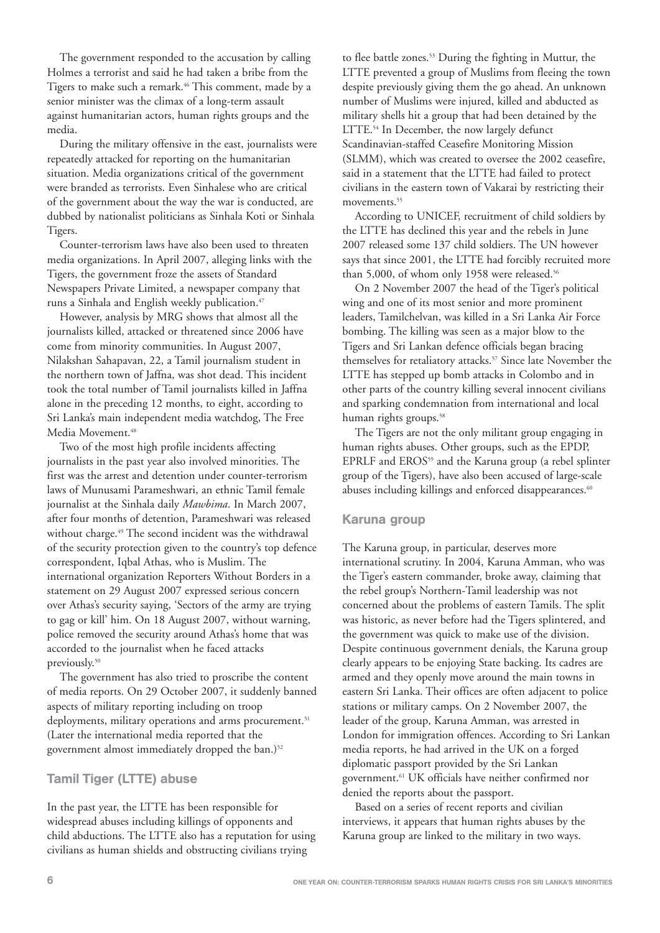The government responded to the accusation by calling Holmes a terrorist and said he had taken a bribe from the Tigers to make such a remark.46 This comment, made by a senior minister was the climax of a long-term assault against humanitarian actors, human rights groups and the media.

During the military offensive in the east, journalists were repeatedly attacked for reporting on the humanitarian situation. Media organizations critical of the government were branded as terrorists. Even Sinhalese who are critical of the government about the way the war is conducted, are dubbed by nationalist politicians as Sinhala Koti or Sinhala Tigers.

Counter-terrorism laws have also been used to threaten media organizations. In April 2007, alleging links with the Tigers, the government froze the assets of Standard Newspapers Private Limited, a newspaper company that runs a Sinhala and English weekly publication.<sup>47</sup>

However, analysis by MRG shows that almost all the journalists killed, attacked or threatened since 2006 have come from minority communities. In August 2007, Nilakshan Sahapavan, 22, a Tamil journalism student in the northern town of Jaffna, was shot dead. This incident took the total number of Tamil journalists killed in Jaffna alone in the preceding 12 months, to eight, according to Sri Lanka's main independent media watchdog, The Free Media Movement.<sup>48</sup>

Two of the most high profile incidents affecting journalists in the past year also involved minorities. The first was the arrest and detention under counter-terrorism laws of Munusami Parameshwari, an ethnic Tamil female journalist at the Sinhala daily *Mawbima*. In March 2007, after four months of detention, Parameshwari was released without charge.<sup>49</sup> The second incident was the withdrawal of the security protection given to the country's top defence correspondent, Iqbal Athas, who is Muslim. The international organization Reporters Without Borders in a statement on 29 August 2007 expressed serious concern over Athas's security saying, 'Sectors of the army are trying to gag or kill' him. On 18 August 2007, without warning, police removed the security around Athas's home that was accorded to the journalist when he faced attacks previously.50

The government has also tried to proscribe the content of media reports. On 29 October 2007, it suddenly banned aspects of military reporting including on troop deployments, military operations and arms procurement.<sup>51</sup> (Later the international media reported that the government almost immediately dropped the ban.)<sup>52</sup>

#### Tamil Tiger (LTTE) abuse

In the past year, the LTTE has been responsible for widespread abuses including killings of opponents and child abductions. The LTTE also has a reputation for using civilians as human shields and obstructing civilians trying

to flee battle zones.<sup>53</sup> During the fighting in Muttur, the LTTE prevented a group of Muslims from fleeing the town despite previously giving them the go ahead. An unknown number of Muslims were injured, killed and abducted as military shells hit a group that had been detained by the LTTE.<sup>54</sup> In December, the now largely defunct Scandinavian-staffed Ceasefire Monitoring Mission (SLMM), which was created to oversee the 2002 ceasefire, said in a statement that the LTTE had failed to protect civilians in the eastern town of Vakarai by restricting their movements.<sup>55</sup>

According to UNICEF, recruitment of child soldiers by the LTTE has declined this year and the rebels in June 2007 released some 137 child soldiers. The UN however says that since 2001, the LTTE had forcibly recruited more than 5,000, of whom only 1958 were released.<sup>56</sup>

On 2 November 2007 the head of the Tiger's political wing and one of its most senior and more prominent leaders, Tamilchelvan, was killed in a Sri Lanka Air Force bombing. The killing was seen as a major blow to the Tigers and Sri Lankan defence officials began bracing themselves for retaliatory attacks.<sup>57</sup> Since late November the LTTE has stepped up bomb attacks in Colombo and in other parts of the country killing several innocent civilians and sparking condemnation from international and local human rights groups.<sup>58</sup>

The Tigers are not the only militant group engaging in human rights abuses. Other groups, such as the EPDP, EPRLF and EROS<sup>59</sup> and the Karuna group (a rebel splinter group of the Tigers), have also been accused of large-scale abuses including killings and enforced disappearances.<sup>60</sup>

#### Karuna group

The Karuna group, in particular, deserves more international scrutiny. In 2004, Karuna Amman, who was the Tiger's eastern commander, broke away, claiming that the rebel group's Northern-Tamil leadership was not concerned about the problems of eastern Tamils. The split was historic, as never before had the Tigers splintered, and the government was quick to make use of the division. Despite continuous government denials, the Karuna group clearly appears to be enjoying State backing. Its cadres are armed and they openly move around the main towns in eastern Sri Lanka. Their offices are often adjacent to police stations or military camps. On 2 November 2007, the leader of the group, Karuna Amman, was arrested in London for immigration offences. According to Sri Lankan media reports, he had arrived in the UK on a forged diplomatic passport provided by the Sri Lankan government.61 UK officials have neither confirmed nor denied the reports about the passport.

Based on a series of recent reports and civilian interviews, it appears that human rights abuses by the Karuna group are linked to the military in two ways.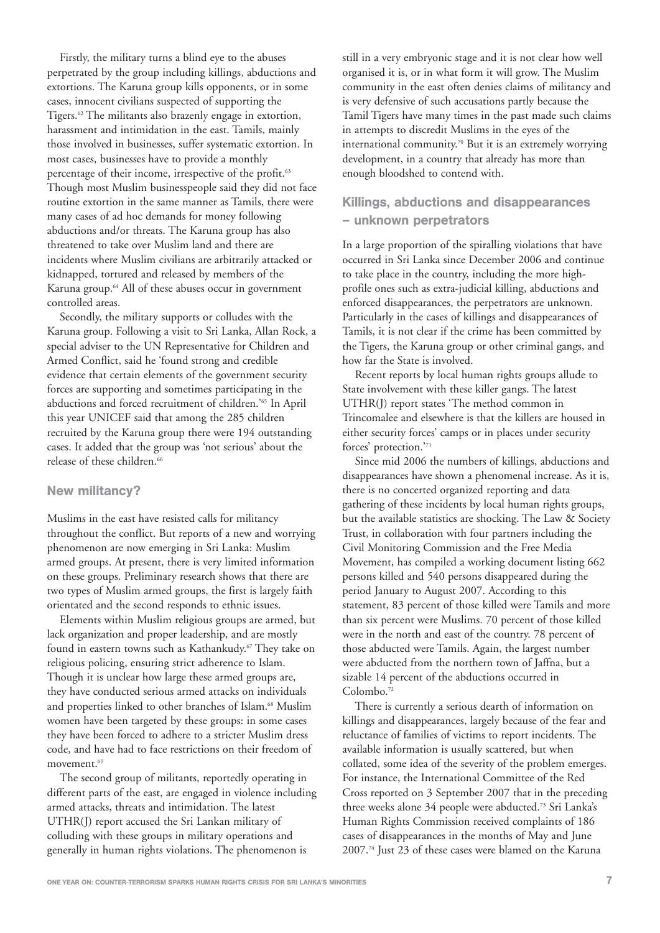Firstly, the military turns a blind eye to the abuses perpetrated by the group including killings, abductions and extortions. The Karuna group kills opponents, or in some cases, innocent civilians suspected of supporting the Tigers.<sup>62</sup> The militants also brazenly engage in extortion, harassment and intimidation in the east. Tamils, mainly those involved in businesses, suffer systematic extortion. In most cases, businesses have to provide a monthly percentage of their income, irrespective of the profit.<sup>63</sup> Though most Muslim businesspeople said they did not face routine extortion in the same manner as Tamils, there were many cases of ad hoc demands for money following abductions and/or threats. The Karuna group has also threatened to take over Muslim land and there are incidents where Muslim civilians are arbitrarily attacked or kidnapped, tortured and released by members of the Karuna group.64 All of these abuses occur in government controlled areas.

Secondly, the military supports or colludes with the Karuna group. Following a visit to Sri Lanka, Allan Rock, a special adviser to the UN Representative for Children and Armed Conflict, said he 'found strong and credible evidence that certain elements of the government security forces are supporting and sometimes participating in the abductions and forced recruitment of children.'65 In April this year UNICEF said that among the 285 children recruited by the Karuna group there were 194 outstanding cases. It added that the group was 'not serious' about the release of these children.<sup>66</sup>

#### New militancy?

Muslims in the east have resisted calls for militancy throughout the conflict. But reports of a new and worrying phenomenon are now emerging in Sri Lanka: Muslim armed groups. At present, there is very limited information on these groups. Preliminary research shows that there are two types of Muslim armed groups, the first is largely faith orientated and the second responds to ethnic issues.

Elements within Muslim religious groups are armed, but lack organization and proper leadership, and are mostly found in eastern towns such as Kathankudy.<sup>67</sup> They take on religious policing, ensuring strict adherence to Islam. Though it is unclear how large these armed groups are, they have conducted serious armed attacks on individuals and properties linked to other branches of Islam.<sup>68</sup> Muslim women have been targeted by these groups: in some cases they have been forced to adhere to a stricter Muslim dress code, and have had to face restrictions on their freedom of movement.<sup>69</sup>

The second group of militants, reportedly operating in different parts of the east, are engaged in violence including armed attacks, threats and intimidation. The latest UTHR(J) report accused the Sri Lankan military of colluding with these groups in military operations and generally in human rights violations. The phenomenon is

still in a very embryonic stage and it is not clear how well organised it is, or in what form it will grow. The Muslim community in the east often denies claims of militancy and is very defensive of such accusations partly because the Tamil Tigers have many times in the past made such claims in attempts to discredit Muslims in the eyes of the international community.70 But it is an extremely worrying development, in a country that already has more than enough bloodshed to contend with.

### Killings, abductions and disappearances – unknown perpetrators

In a large proportion of the spiralling violations that have occurred in Sri Lanka since December 2006 and continue to take place in the country, including the more highprofile ones such as extra-judicial killing, abductions and enforced disappearances, the perpetrators are unknown. Particularly in the cases of killings and disappearances of Tamils, it is not clear if the crime has been committed by the Tigers, the Karuna group or other criminal gangs, and how far the State is involved.

Recent reports by local human rights groups allude to State involvement with these killer gangs. The latest UTHR(J) report states 'The method common in Trincomalee and elsewhere is that the killers are housed in either security forces' camps or in places under security forces' protection.'71

Since mid 2006 the numbers of killings, abductions and disappearances have shown a phenomenal increase. As it is, there is no concerted organized reporting and data gathering of these incidents by local human rights groups, but the available statistics are shocking. The Law & Society Trust, in collaboration with four partners including the Civil Monitoring Commission and the Free Media Movement, has compiled a working document listing 662 persons killed and 540 persons disappeared during the period January to August 2007. According to this statement, 83 percent of those killed were Tamils and more than six percent were Muslims. 70 percent of those killed were in the north and east of the country. 78 percent of those abducted were Tamils. Again, the largest number were abducted from the northern town of Jaffna, but a sizable 14 percent of the abductions occurred in Colombo<sup>72</sup>

There is currently a serious dearth of information on killings and disappearances, largely because of the fear and reluctance of families of victims to report incidents. The available information is usually scattered, but when collated, some idea of the severity of the problem emerges. For instance, the International Committee of the Red Cross reported on 3 September 2007 that in the preceding three weeks alone 34 people were abducted.<sup>73</sup> Sri Lanka's Human Rights Commission received complaints of 186 cases of disappearances in the months of May and June 2007.74 Just 23 of these cases were blamed on the Karuna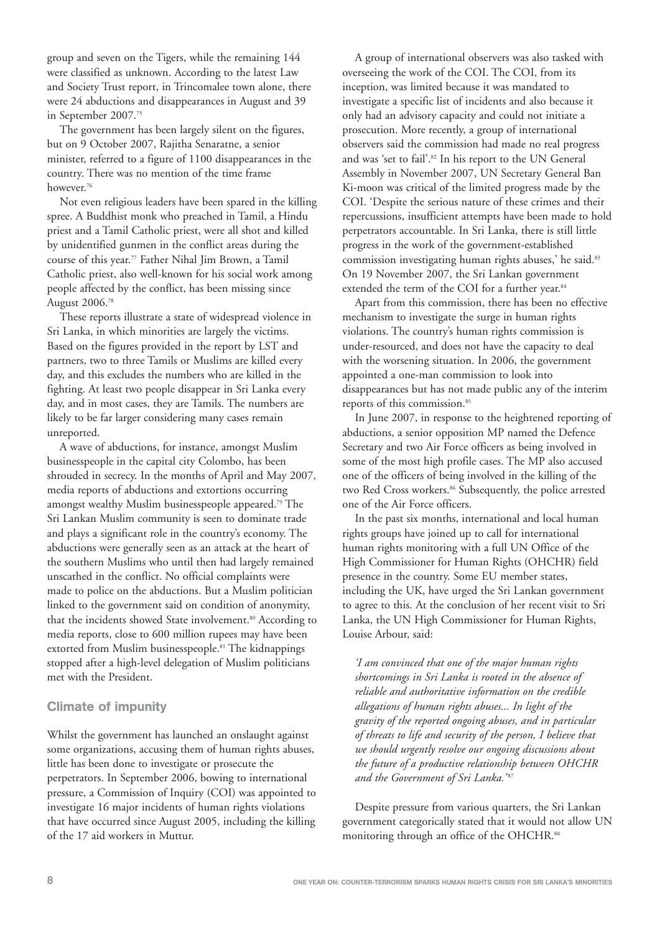group and seven on the Tigers, while the remaining 144 were classified as unknown. According to the latest Law and Society Trust report, in Trincomalee town alone, there were 24 abductions and disappearances in August and 39 in September 2007.75

The government has been largely silent on the figures, but on 9 October 2007, Rajitha Senaratne, a senior minister, referred to a figure of 1100 disappearances in the country. There was no mention of the time frame however.76

Not even religious leaders have been spared in the killing spree. A Buddhist monk who preached in Tamil, a Hindu priest and a Tamil Catholic priest, were all shot and killed by unidentified gunmen in the conflict areas during the course of this year.77 Father Nihal Jim Brown, a Tamil Catholic priest, also well-known for his social work among people affected by the conflict, has been missing since August 2006.78

These reports illustrate a state of widespread violence in Sri Lanka, in which minorities are largely the victims. Based on the figures provided in the report by LST and partners, two to three Tamils or Muslims are killed every day, and this excludes the numbers who are killed in the fighting. At least two people disappear in Sri Lanka every day, and in most cases, they are Tamils. The numbers are likely to be far larger considering many cases remain unreported.

A wave of abductions, for instance, amongst Muslim businesspeople in the capital city Colombo, has been shrouded in secrecy. In the months of April and May 2007, media reports of abductions and extortions occurring amongst wealthy Muslim businesspeople appeared.79 The Sri Lankan Muslim community is seen to dominate trade and plays a significant role in the country's economy. The abductions were generally seen as an attack at the heart of the southern Muslims who until then had largely remained unscathed in the conflict. No official complaints were made to police on the abductions. But a Muslim politician linked to the government said on condition of anonymity, that the incidents showed State involvement.<sup>80</sup> According to media reports, close to 600 million rupees may have been extorted from Muslim businesspeople.<sup>81</sup> The kidnappings stopped after a high-level delegation of Muslim politicians met with the President.

#### Climate of impunity

Whilst the government has launched an onslaught against some organizations, accusing them of human rights abuses, little has been done to investigate or prosecute the perpetrators. In September 2006, bowing to international pressure, a Commission of Inquiry (COI) was appointed to investigate 16 major incidents of human rights violations that have occurred since August 2005, including the killing of the 17 aid workers in Muttur.

A group of international observers was also tasked with overseeing the work of the COI. The COI, from its inception, was limited because it was mandated to investigate a specific list of incidents and also because it only had an advisory capacity and could not initiate a prosecution. More recently, a group of international observers said the commission had made no real progress and was 'set to fail'.<sup>82</sup> In his report to the UN General Assembly in November 2007, UN Secretary General Ban Ki-moon was critical of the limited progress made by the COI. 'Despite the serious nature of these crimes and their repercussions, insufficient attempts have been made to hold perpetrators accountable. In Sri Lanka, there is still little progress in the work of the government-established commission investigating human rights abuses,' he said.<sup>83</sup> On 19 November 2007, the Sri Lankan government extended the term of the COI for a further year.<sup>84</sup>

Apart from this commission, there has been no effective mechanism to investigate the surge in human rights violations. The country's human rights commission is under-resourced, and does not have the capacity to deal with the worsening situation. In 2006, the government appointed a one-man commission to look into disappearances but has not made public any of the interim reports of this commission.<sup>85</sup>

In June 2007, in response to the heightened reporting of abductions, a senior opposition MP named the Defence Secretary and two Air Force officers as being involved in some of the most high profile cases. The MP also accused one of the officers of being involved in the killing of the two Red Cross workers.<sup>86</sup> Subsequently, the police arrested one of the Air Force officers.

In the past six months, international and local human rights groups have joined up to call for international human rights monitoring with a full UN Office of the High Commissioner for Human Rights (OHCHR) field presence in the country. Some EU member states, including the UK, have urged the Sri Lankan government to agree to this. At the conclusion of her recent visit to Sri Lanka, the UN High Commissioner for Human Rights, Louise Arbour, said:

*'I am convinced that one of the major human rights shortcomings in Sri Lanka is rooted in the absence of reliable and authoritative information on the credible allegations of human rights abuses... In light of the gravity of the reported ongoing abuses, and in particular of threats to life and security of the person, I believe that we should urgently resolve our ongoing discussions about the future of a productive relationship between OHCHR* and the Government of Sri Lanka.'<sup>87</sup>

Despite pressure from various quarters, the Sri Lankan government categorically stated that it would not allow UN monitoring through an office of the OHCHR.<sup>88</sup>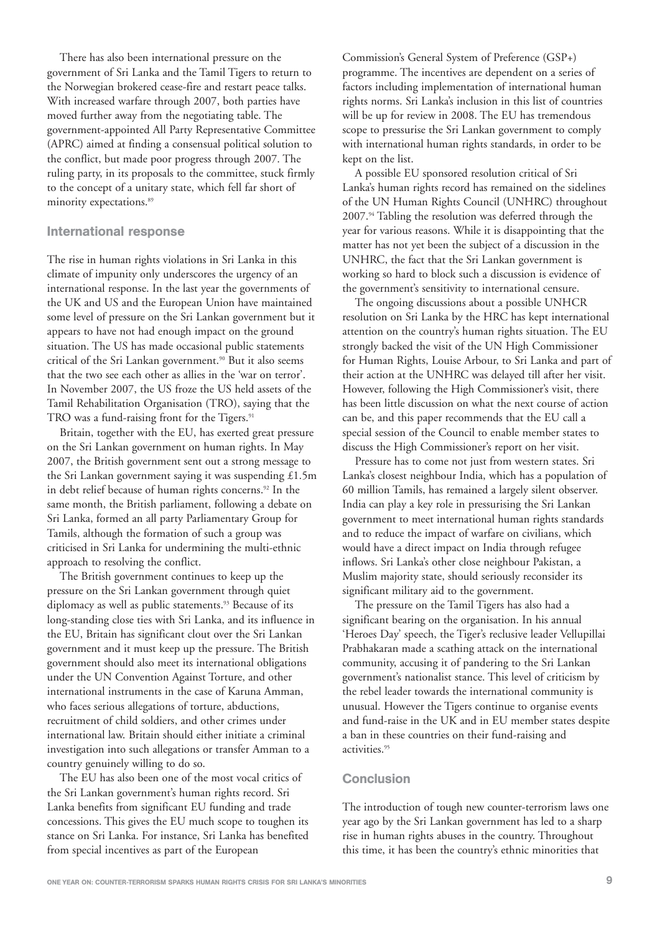There has also been international pressure on the government of Sri Lanka and the Tamil Tigers to return to the Norwegian brokered cease-fire and restart peace talks. With increased warfare through 2007, both parties have moved further away from the negotiating table. The government-appointed All Party Representative Committee (APRC) aimed at finding a consensual political solution to the conflict, but made poor progress through 2007. The ruling party, in its proposals to the committee, stuck firmly to the concept of a unitary state, which fell far short of minority expectations.<sup>89</sup>

#### International response

The rise in human rights violations in Sri Lanka in this climate of impunity only underscores the urgency of an international response. In the last year the governments of the UK and US and the European Union have maintained some level of pressure on the Sri Lankan government but it appears to have not had enough impact on the ground situation. The US has made occasional public statements critical of the Sri Lankan government.<sup>90</sup> But it also seems that the two see each other as allies in the 'war on terror'. In November 2007, the US froze the US held assets of the Tamil Rehabilitation Organisation (TRO), saying that the TRO was a fund-raising front for the Tigers.<sup>91</sup>

Britain, together with the EU, has exerted great pressure on the Sri Lankan government on human rights. In May 2007, the British government sent out a strong message to the Sri Lankan government saying it was suspending £1.5m in debt relief because of human rights concerns.<sup>92</sup> In the same month, the British parliament, following a debate on Sri Lanka, formed an all party Parliamentary Group for Tamils, although the formation of such a group was criticised in Sri Lanka for undermining the multi-ethnic approach to resolving the conflict.

The British government continues to keep up the pressure on the Sri Lankan government through quiet diplomacy as well as public statements.<sup>93</sup> Because of its long-standing close ties with Sri Lanka, and its influence in the EU, Britain has significant clout over the Sri Lankan government and it must keep up the pressure. The British government should also meet its international obligations under the UN Convention Against Torture, and other international instruments in the case of Karuna Amman, who faces serious allegations of torture, abductions, recruitment of child soldiers, and other crimes under international law. Britain should either initiate a criminal investigation into such allegations or transfer Amman to a country genuinely willing to do so.

The EU has also been one of the most vocal critics of the Sri Lankan government's human rights record. Sri Lanka benefits from significant EU funding and trade concessions. This gives the EU much scope to toughen its stance on Sri Lanka. For instance, Sri Lanka has benefited from special incentives as part of the European

Commission's General System of Preference (GSP+) programme. The incentives are dependent on a series of factors including implementation of international human rights norms. Sri Lanka's inclusion in this list of countries will be up for review in 2008. The EU has tremendous scope to pressurise the Sri Lankan government to comply with international human rights standards, in order to be kept on the list.

A possible EU sponsored resolution critical of Sri Lanka's human rights record has remained on the sidelines of the UN Human Rights Council (UNHRC) throughout 2007.94 Tabling the resolution was deferred through the year for various reasons. While it is disappointing that the matter has not yet been the subject of a discussion in the UNHRC, the fact that the Sri Lankan government is working so hard to block such a discussion is evidence of the government's sensitivity to international censure.

The ongoing discussions about a possible UNHCR resolution on Sri Lanka by the HRC has kept international attention on the country's human rights situation. The EU strongly backed the visit of the UN High Commissioner for Human Rights, Louise Arbour, to Sri Lanka and part of their action at the UNHRC was delayed till after her visit. However, following the High Commissioner's visit, there has been little discussion on what the next course of action can be, and this paper recommends that the EU call a special session of the Council to enable member states to discuss the High Commissioner's report on her visit.

Pressure has to come not just from western states. Sri Lanka's closest neighbour India, which has a population of 60 million Tamils, has remained a largely silent observer. India can play a key role in pressurising the Sri Lankan government to meet international human rights standards and to reduce the impact of warfare on civilians, which would have a direct impact on India through refugee inflows. Sri Lanka's other close neighbour Pakistan, a Muslim majority state, should seriously reconsider its significant military aid to the government.

The pressure on the Tamil Tigers has also had a significant bearing on the organisation. In his annual 'Heroes Day' speech, the Tiger's reclusive leader Vellupillai Prabhakaran made a scathing attack on the international community, accusing it of pandering to the Sri Lankan government's nationalist stance. This level of criticism by the rebel leader towards the international community is unusual. However the Tigers continue to organise events and fund-raise in the UK and in EU member states despite a ban in these countries on their fund-raising and activities.95

#### **Conclusion**

The introduction of tough new counter-terrorism laws one year ago by the Sri Lankan government has led to a sharp rise in human rights abuses in the country. Throughout this time, it has been the country's ethnic minorities that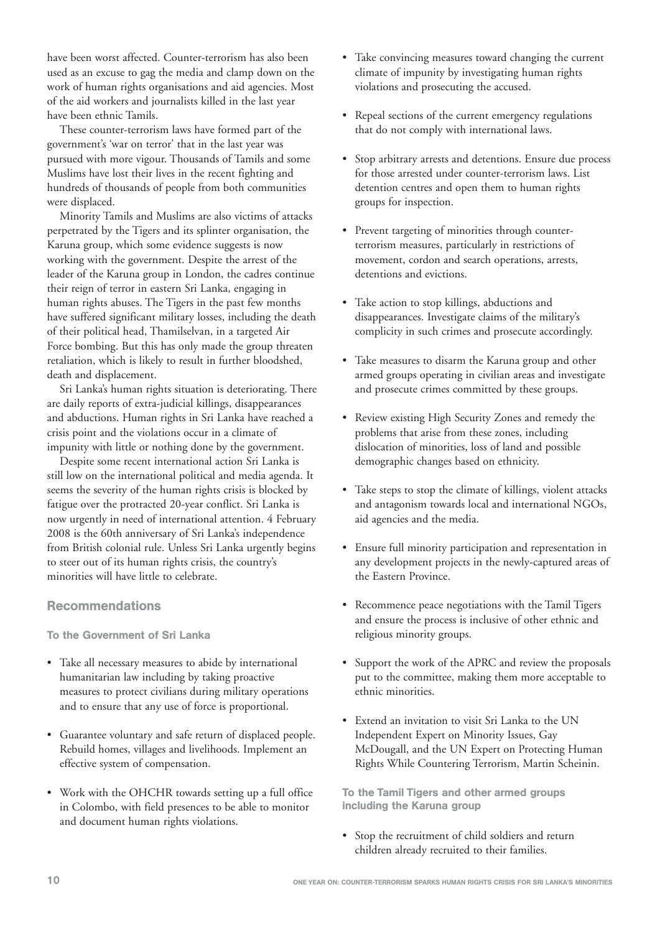have been worst affected. Counter-terrorism has also been used as an excuse to gag the media and clamp down on the work of human rights organisations and aid agencies. Most of the aid workers and journalists killed in the last year have been ethnic Tamils.

These counter-terrorism laws have formed part of the government's 'war on terror' that in the last year was pursued with more vigour. Thousands of Tamils and some Muslims have lost their lives in the recent fighting and hundreds of thousands of people from both communities were displaced.

Minority Tamils and Muslims are also victims of attacks perpetrated by the Tigers and its splinter organisation, the Karuna group, which some evidence suggests is now working with the government. Despite the arrest of the leader of the Karuna group in London, the cadres continue their reign of terror in eastern Sri Lanka, engaging in human rights abuses. The Tigers in the past few months have suffered significant military losses, including the death of their political head, Thamilselvan, in a targeted Air Force bombing. But this has only made the group threaten retaliation, which is likely to result in further bloodshed, death and displacement.

Sri Lanka's human rights situation is deteriorating. There are daily reports of extra-judicial killings, disappearances and abductions. Human rights in Sri Lanka have reached a crisis point and the violations occur in a climate of impunity with little or nothing done by the government.

Despite some recent international action Sri Lanka is still low on the international political and media agenda. It seems the severity of the human rights crisis is blocked by fatigue over the protracted 20-year conflict. Sri Lanka is now urgently in need of international attention. 4 February 2008 is the 60th anniversary of Sri Lanka's independence from British colonial rule. Unless Sri Lanka urgently begins to steer out of its human rights crisis, the country's minorities will have little to celebrate.

#### Recommendations

To the Government of Sri Lanka

- Take all necessary measures to abide by international humanitarian law including by taking proactive measures to protect civilians during military operations and to ensure that any use of force is proportional.
- Guarantee voluntary and safe return of displaced people. Rebuild homes, villages and livelihoods. Implement an effective system of compensation.
- Work with the OHCHR towards setting up a full office in Colombo, with field presences to be able to monitor and document human rights violations.
- Take convincing measures toward changing the current climate of impunity by investigating human rights violations and prosecuting the accused.
- Repeal sections of the current emergency regulations that do not comply with international laws.
- Stop arbitrary arrests and detentions. Ensure due process for those arrested under counter-terrorism laws. List detention centres and open them to human rights groups for inspection.
- Prevent targeting of minorities through counterterrorism measures, particularly in restrictions of movement, cordon and search operations, arrests, detentions and evictions.
- Take action to stop killings, abductions and disappearances. Investigate claims of the military's complicity in such crimes and prosecute accordingly.
- Take measures to disarm the Karuna group and other armed groups operating in civilian areas and investigate and prosecute crimes committed by these groups.
- Review existing High Security Zones and remedy the problems that arise from these zones, including dislocation of minorities, loss of land and possible demographic changes based on ethnicity.
- Take steps to stop the climate of killings, violent attacks and antagonism towards local and international NGOs, aid agencies and the media.
- Ensure full minority participation and representation in any development projects in the newly-captured areas of the Eastern Province.
- Recommence peace negotiations with the Tamil Tigers and ensure the process is inclusive of other ethnic and religious minority groups.
- Support the work of the APRC and review the proposals put to the committee, making them more acceptable to ethnic minorities.
- Extend an invitation to visit Sri Lanka to the UN Independent Expert on Minority Issues, Gay McDougall, and the UN Expert on Protecting Human Rights While Countering Terrorism, Martin Scheinin.

To the Tamil Tigers and other armed groups including the Karuna group

• Stop the recruitment of child soldiers and return children already recruited to their families.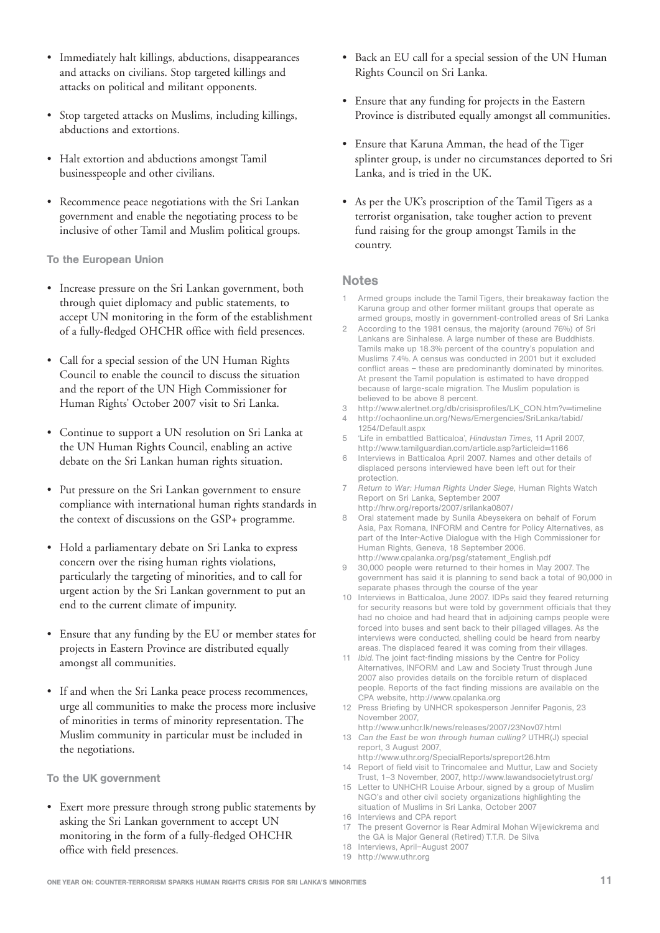- Immediately halt killings, abductions, disappearances and attacks on civilians. Stop targeted killings and attacks on political and militant opponents.
- Stop targeted attacks on Muslims, including killings, abductions and extortions.
- Halt extortion and abductions amongst Tamil businesspeople and other civilians.
- Recommence peace negotiations with the Sri Lankan government and enable the negotiating process to be inclusive of other Tamil and Muslim political groups.

To the European Union

- Increase pressure on the Sri Lankan government, both through quiet diplomacy and public statements, to accept UN monitoring in the form of the establishment of a fully-fledged OHCHR office with field presences.
- Call for a special session of the UN Human Rights Council to enable the council to discuss the situation and the report of the UN High Commissioner for Human Rights' October 2007 visit to Sri Lanka.
- Continue to support a UN resolution on Sri Lanka at the UN Human Rights Council, enabling an active debate on the Sri Lankan human rights situation.
- Put pressure on the Sri Lankan government to ensure compliance with international human rights standards in the context of discussions on the GSP+ programme.
- Hold a parliamentary debate on Sri Lanka to express concern over the rising human rights violations, particularly the targeting of minorities, and to call for urgent action by the Sri Lankan government to put an end to the current climate of impunity.
- Ensure that any funding by the EU or member states for projects in Eastern Province are distributed equally amongst all communities.
- If and when the Sri Lanka peace process recommences, urge all communities to make the process more inclusive of minorities in terms of minority representation. The Muslim community in particular must be included in the negotiations.

To the UK government

• Exert more pressure through strong public statements by asking the Sri Lankan government to accept UN monitoring in the form of a fully-fledged OHCHR office with field presences.

- Back an EU call for a special session of the UN Human Rights Council on Sri Lanka.
- Ensure that any funding for projects in the Eastern Province is distributed equally amongst all communities.
- Ensure that Karuna Amman, the head of the Tiger splinter group, is under no circumstances deported to Sri Lanka, and is tried in the UK.
- As per the UK's proscription of the Tamil Tigers as a terrorist organisation, take tougher action to prevent fund raising for the group amongst Tamils in the country.

#### Notes

- Armed groups include the Tamil Tigers, their breakaway faction the Karuna group and other former militant groups that operate as armed groups, mostly in government-controlled areas of Sri Lanka
- 2 According to the 1981 census, the majority (around 76%) of Sri Lankans are Sinhalese. A large number of these are Buddhists. Tamils make up 18.3% percent of the country's population and Muslims 7.4%. A census was conducted in 2001 but it excluded conflict areas – these are predominantly dominated by minorites. At present the Tamil population is estimated to have dropped because of large-scale migration. The Muslim population is believed to be above 8 percent.
- 3 http://www.alertnet.org/db/crisisprofiles/LK\_CON.htm?v=timeline
- 4 http://ochaonline.un.org/News/Emergencies/SriLanka/tabid/
- 1254/Default.aspx 5 'Life in embattled Batticaloa', *Hindustan Times*, 11 April 2007, http://www.tamilguardian.com/article.asp?articleid=1166
- Interviews in Batticaloa April 2007. Names and other details of displaced persons interviewed have been left out for their protection.
- 7 *Return to War: Human Rights Under Siege*, Human Rights Watch Report on Sri Lanka, September 2007 http://hrw.org/reports/2007/srilanka0807/
- 8 Oral statement made by Sunila Abeysekera on behalf of Forum Asia, Pax Romana, INFORM and Centre for Policy Alternatives, as part of the Inter-Active Dialogue with the High Commissioner for Human Rights, Geneva, 18 September 2006. http://www.cpalanka.org/psg/statement\_English.pdf
- 9 30,000 people were returned to their homes in May 2007. The government has said it is planning to send back a total of 90,000 in separate phases through the course of the year
- 10 Interviews in Batticaloa, June 2007. IDPs said they feared returning for security reasons but were told by government officials that they had no choice and had heard that in adjoining camps people were forced into buses and sent back to their pillaged villages. As the interviews were conducted, shelling could be heard from nearby areas. The displaced feared it was coming from their villages.
- 11 *Ibid.* The joint fact-finding missions by the Centre for Policy Alternatives, INFORM and Law and Society Trust through June 2007 also provides details on the forcible return of displaced people. Reports of the fact finding missions are available on the CPA website, http://www.cpalanka.org
- 12 Press Briefing by UNHCR spokesperson Jennifer Pagonis, 23 November 2007,
- http://www.unhcr.lk/news/releases/2007/23Nov07.html 13 *Can the East be won through human culling?* UTHR(J) special report, 3 August 2007,

http://www.uthr.org/SpecialReports/spreport26.htm 14 Report of field visit to Trincomalee and Muttur, Law and Society Trust, 1–3 November, 2007, http://www.lawandsocietytrust.org/

- 15 Letter to UNHCHR Louise Arbour, signed by a group of Muslim NGO's and other civil society organizations highlighting the situation of Muslims in Sri Lanka, October 2007
- 16 Interviews and CPA report
- 17 The present Governor is Rear Admiral Mohan Wijewickrema and the GA is Major General (Retired) T.T.R. De Silva
- 18 Interviews, April–August 2007
- 19 http://www.uthr.org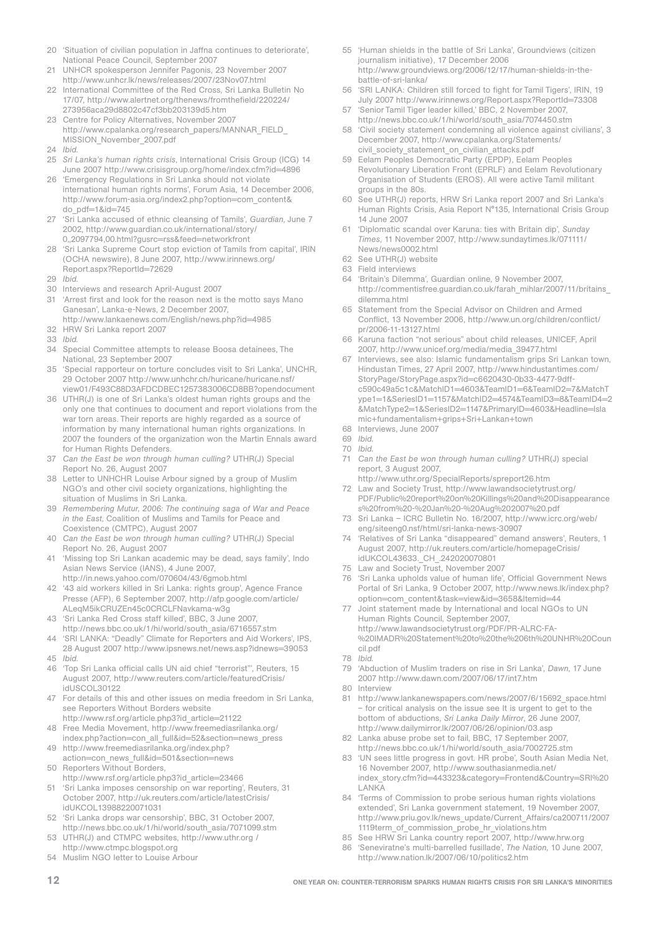- 20 'Situation of civilian population in Jaffna continues to deteriorate', National Peace Council, September 2007
- 21 UNHCR spokesperson Jennifer Pagonis, 23 November 2007 http://www.unhcr.lk/news/releases/2007/23Nov07.html
- 22 International Committee of the Red Cross, Sri Lanka Bulletin No 17/07, http://www.alertnet.org/thenews/fromthefield/220224/ 273956aca29d8802c47cf3bb203139d5.htm
- 23 Centre for Policy Alternatives, November 2007 http://www.cpalanka.org/research\_papers/MANNAR\_FIELD\_ MISSION\_November\_2007.pdf
- 24 *Ibid.*
- 25 *Sri Lanka's human rights crisis*, International Crisis Group (ICG) 14 June 2007 http://www.crisisgroup.org/home/index.cfm?id=4896
- 26 'Emergency Regulations in Sri Lanka should not violate international human rights norms', Forum Asia, 14 December 2006, http://www.forum-asia.org/index2.php?option=com\_content& do\_pdf=1&id=745
- 27 'Sri Lanka accused of ethnic cleansing of Tamils', *Guardian*, June 7 2002, http://www.guardian.co.uk/international/story/ 0,,2097794,00.html?gusrc=rss&feed=networkfront
- 28 'Sri Lanka Supreme Court stop eviction of Tamils from capital', IRIN (OCHA newswire), 8 June 2007, http://www.irinnews.org/ Report.aspx?ReportId=72629
- 29 *Ibid.*
- 30 Interviews and research April-August 2007
- 31 'Arrest first and look for the reason next is the motto says Mano Ganesan', Lanka-e-News, 2 December 2007, http://www.lankaenews.com/English/news.php?id=4985
- 32 HRW Sri Lanka report 2007
- 33 *Ibid.*
- 34 Special Committee attempts to release Boosa detainees, The National, 23 September 2007
- 35 'Special rapporteur on torture concludes visit to Sri Lanka', UNCHR, 29 October 2007 http://www.unhchr.ch/huricane/huricane.nsf/ view01/F493C88D3AFDCDBEC1257383006CD8BB?opendocument
- 36 UTHR(J) is one of Sri Lanka's oldest human rights groups and the only one that continues to document and report violations from the war torn areas. Their reports are highly regarded as a source of information by many international human rights organizations. In 2007 the founders of the organization won the Martin Ennals award for Human Rights Defenders.
- 37 *Can the East be won through human culling?* UTHR(J) Special Report No. 26, August 2007
- Letter to UNHCHR Louise Arbour signed by a group of Muslim NGO's and other civil society organizations, highlighting the situation of Muslims in Sri Lanka.
- 39 *Remembering Mutur, 2006: The continuing saga of War and Peace in the East*, Coalition of Muslims and Tamils for Peace and Coexistence (CMTPC), August 2007
- 40 *Can the East be won through human culling?* UTHR(J) Special Report No. 26, August 2007
- 41 'Missing top Sri Lankan academic may be dead, says family', Indo Asian News Service (IANS), 4 June 2007, http://in.news.yahoo.com/070604/43/6gmob.html
- 42 '43 aid workers killed in Sri Lanka: rights group', Agence France Presse (AFP), 6 September 2007, http://afp.google.com/article/ ALeqM5ikCRUZEn45c0CRCLFNavkama-w3g
- 43 'Sri Lanka Red Cross staff killed', BBC, 3 June 2007, http://news.bbc.co.uk/1/hi/world/south\_asia/6716557.stm
- 44 'SRI LANKA: "Deadly" Climate for Reporters and Aid Workers', IPS, 28 August 2007 http://www.ipsnews.net/news.asp?idnews=39053
- 45 *Ibid.*
- 46 'Top Sri Lanka official calls UN aid chief "terrorist"', Reuters, 15 August 2007, http://www.reuters.com/article/featuredCrisis/ idUSCOL30122
- 47 For details of this and other issues on media freedom in Sri Lanka, see Reporters Without Borders website
- http://www.rsf.org/article.php3?id\_article=21122 48 Free Media Movement, http://www.freemediasrilanka.org/
- index.php?action=con\_all\_full&id=52&section=news\_press
- 49 http://www.freemediasrilanka.org/index.php? action=con\_news\_full&id=501&section=news
- 50 Reporters Without Borders,
- http://www.rsf.org/article.php3?id\_article=23466
- 51 'Sri Lanka imposes censorship on war reporting', Reuters, 31 October 2007, http://uk.reuters.com/article/latestCrisis/ idUKCOL13988220071031
- 52 'Sri Lanka drops war censorship', BBC, 31 October 2007, http://news.bbc.co.uk/1/hi/world/south\_asia/7071099.stm
- 53 UTHR(J) and CTMPC websites, http://www.uthr.org / http://www.ctmpc.blogspot.org
- 54 Muslim NGO letter to Louise Arbour
- 55 'Human shields in the battle of Sri Lanka', Groundviews (citizen journalism initiative), 17 December 2006 http://www.groundviews.org/2006/12/17/human-shields-in-thebattle-of-sri-lanka/
- 56 'SRI LANKA: Children still forced to fight for Tamil Tigers', IRIN, 19 July 2007 http://www.irinnews.org/Report.aspx?ReportId=73308
- 57 'Senior Tamil Tiger leader killed,' BBC, 2 November 2007, http://news.bbc.co.uk/1/hi/world/south\_asia/7074450.stm
- 58 'Civil society statement condemning all violence against civilians', 3 December 2007, http://www.cpalanka.org/Statements/ civil\_society\_statement\_on\_civilian\_attacks.pdf
- 59 Eelam Peoples Democratic Party (EPDP), Eelam Peoples Revolutionary Liberation Front (EPRLF) and Eelam Revolutionary Organisation of Students (EROS). All were active Tamil militant groups in the 80s.
- 60 See UTHR(J) reports, HRW Sri Lanka report 2007 and Sri Lanka's Human Rights Crisis, Asia Report N°135, International Crisis Group 14 June 2007
- 61 'Diplomatic scandal over Karuna: ties with Britain dip', *Sunday Times*, 11 November 2007, http://www.sundaytimes.lk/071111/ News/news0002.html
- 62 See UTHR(J) website
- 63 Field interviews
- 64 'Britain's Dilemma', Guardian online, 9 November 2007, http://commentisfree.guardian.co.uk/farah\_mihlar/2007/11/britains\_ dilemma.html
- 65 Statement from the Special Advisor on Children and Armed Conflict, 13 November 2006, http://www.un.org/children/conflict/ pr/2006-11-13127.html
- 66 Karuna faction "not serious" about child releases, UNICEF, April 2007, http://www.unicef.org/media/media\_39477.html
- 67 Interviews, see also: Islamic fundamentalism grips Sri Lankan town, Hindustan Times, 27 April 2007, http://www.hindustantimes.com/ StoryPage/StoryPage.aspx?id=c6620430-0b33-4477-9dffc590c49a5c1c&MatchID1=4603&TeamID1=6&TeamID2=7&MatchT ype1=1&SeriesID1=1157&MatchID2=4574&TeamID3=8&TeamID4=2 &MatchType2=1&SeriesID2=1147&PrimaryID=4603&Headline=Isla mic+fundamentalism+grips+Sri+Lankan+town
- 68 Interviews, June 2007

- 70 *Ibid.*
- 71 *Can the East be won through human culling?* UTHR(J) special report, 3 August 2007,
	- http://www.uthr.org/SpecialReports/spreport26.htm
- 72 Law and Society Trust, http://www.lawandsocietytrust.org/ PDF/Public%20report%20on%20Killings%20and%20Disappearance s%20from%20-%20Jan%20-%20Aug%202007%20.pdf
- 73 Sri Lanka ICRC Bulletin No. 16/2007, http://www.icrc.org/web/ eng/siteeng0.nsf/html/sri-lanka-news-30907
- 74 'Relatives of Sri Lanka "disappeared" demand answers', Reuters, 1 August 2007, http://uk.reuters.com/article/homepageCrisis/ idUKCOL43633.\_CH\_.242020070801
- 75 Law and Society Trust, November 2007
- 76 'Sri Lanka upholds value of human life', Official Government News Portal of Sri Lanka, 9 October 2007, http://www.news.lk/index.php? option=com\_content&task=view&id=3658&Itemid=44
- Joint statement made by International and local NGOs to UN Human Rights Council, September 2007, http://www.lawandsocietytrust.org/PDF/PR-ALRC-FA- %20IMADR%20Statement%20to%20the%206th%20UNHR%20Coun cil.pdf
- 78 *Ibid.*
- 79 'Abduction of Muslim traders on rise in Sri Lanka', *Dawn*, 17 June 2007 http://www.dawn.com/2007/06/17/int7.htm
- 80 Interview
- 81 http://www.lankanewspapers.com/news/2007/6/15692\_space.html – for critical analysis on the issue see It is urgent to get to the bottom of abductions, *Sri Lanka Daily Mirror*, 26 June 2007, http://www.dailymirror.lk/2007/06/26/opinion/03.asp
- 82 Lanka abuse probe set to fail, BBC, 17 September 2007, http://news.bbc.co.uk/1/hi/world/south\_asia/7002725.stm
- 83 'UN sees little progress in govt. HR probe', South Asian Media Net, 16 November 2007, http://www.southasianmedia.net/ index\_story.cfm?id=443323&category=Frontend&Country=SRI%20 LANKA
- 84 'Terms of Commission to probe serious human rights violations extended', Sri Lanka government statement, 19 November 2007, http://www.priu.gov.lk/news\_update/Current\_Affairs/ca200711/2007 1119term\_of\_commission\_probe\_hr\_violations.htm
- 85 See HRW Sri Lanka country report 2007, http://www.hrw.org
- 86 'Seneviratne's multi-barrelled fusillade', *The Nation*, 10 June 2007, http://www.nation.lk/2007/06/10/politics2.htm

<sup>69</sup> *Ibid.*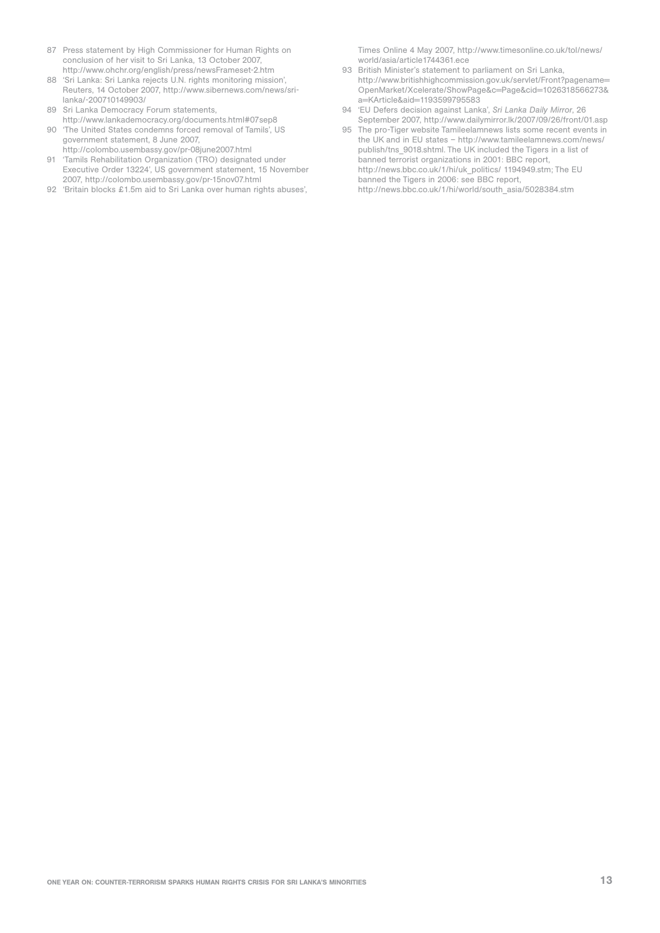- 87 Press statement by High Commissioner for Human Rights on conclusion of her visit to Sri Lanka, 13 October 2007, http://www.ohchr.org/english/press/newsFrameset-2.htm
- 88 'Sri Lanka: Sri Lanka rejects U.N. rights monitoring mission', Reuters, 14 October 2007, http://www.sibernews.com/news/srilanka/-200710149903/
- 89 Sri Lanka Democracy Forum statements, http://www.lankademocracy.org/documents.html#07sep8
- 90 'The United States condemns forced removal of Tamils', US government statement, 8 June 2007, http://colombo.usembassy.gov/pr-08june2007.html
- 91 'Tamils Rehabilitation Organization (TRO) designated under Executive Order 13224', US government statement, 15 November 2007, http://colombo.usembassy.gov/pr-15nov07.html
- 92 'Britain blocks £1.5m aid to Sri Lanka over human rights abuses',

Times Online 4 May 2007, http://www.timesonline.co.uk/tol/news/ world/asia/article1744361.ece

- 93 British Minister's statement to parliament on Sri Lanka, http://www.britishhighcommission.gov.uk/servlet/Front?pagename= OpenMarket/Xcelerate/ShowPage&c=Page&cid=1026318566273& a=KArticle&aid=1193599795583
- 94 'EU Defers decision against Lanka', *Sri Lanka Daily Mirror*, 26 September 2007, http://www.dailymirror.lk/2007/09/26/front/01.asp
- 95 The pro-Tiger website Tamileelamnews lists some recent events in the UK and in EU states – http://www.tamileelamnews.com/news/ publish/tns\_9018.shtml. The UK included the Tigers in a list of banned terrorist organizations in 2001: BBC report, http://news.bbc.co.uk/1/hi/uk\_politics/ 1194949.stm; The EU banned the Tigers in 2006: see BBC report, http://news.bbc.co.uk/1/hi/world/south\_asia/5028384.stm